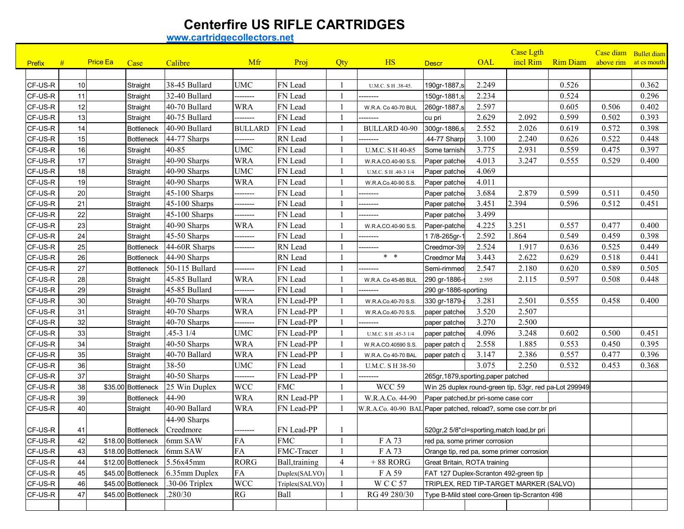## **Centerfire US RIFLE CARTRIDGES**

**www.cartridgecollectors.net**

|               |    |          |                    |                            |                |                |     |                                                                  |                                                        |       | <b>Case Lgth</b>                              |                 | Case diam Bullet diam |             |
|---------------|----|----------|--------------------|----------------------------|----------------|----------------|-----|------------------------------------------------------------------|--------------------------------------------------------|-------|-----------------------------------------------|-----------------|-----------------------|-------------|
| <b>Prefix</b> | #  | Price Ea | Case               | Calibre                    | Mfr            | Proj           | Qty | <b>HS</b>                                                        | <b>Descr</b>                                           | OAL   | incl Rim                                      | <b>Rim Diam</b> | above rim             | at cs mouth |
|               |    |          |                    |                            |                |                |     |                                                                  |                                                        |       |                                               |                 |                       |             |
| CF-US-R       | 10 |          | Straight           | 38-45 Bullard              | <b>UMC</b>     | FN Lead        |     | U.M.C. S H .38-45.                                               | 190gr-1887,s                                           | 2.249 |                                               | 0.526           |                       | 0.362       |
| CF-US-R       | 11 |          | Straight           | 32-40 Bullard              | -------        | FN Lead        |     |                                                                  | 150gr-1881,s                                           | 2.234 |                                               | 0.524           |                       | 0.296       |
| CF-US-R       | 12 |          | Straight           | 40-70 Bullard              | WRA            | FN Lead        |     | W.R.A. Co 40-70 BUL                                              | 260gr-1887,s                                           | 2.597 |                                               | 0.605           | 0.506                 | 0.402       |
| CF-US-R       | 13 |          | Straight           | 40-75 Bullard              | -------        | FN Lead        |     |                                                                  | cu pri                                                 | 2.629 | 2.092                                         | 0.599           | 0.502                 | 0.393       |
| CF-US-R       | 14 |          | <b>Bottleneck</b>  | 40-90 Bullard              | <b>BULLARD</b> | FN Lead        |     | <b>BULLARD 40-90</b>                                             | 300gr-1886,s                                           | 2.552 | 2.026                                         | 0.619           | 0.572                 | 0.398       |
| CF-US-R       | 15 |          | <b>Bottleneck</b>  | 44-77 Sharps               |                | RN Lead        |     |                                                                  | .44-77 Sharp:                                          | 3.100 | 2.240                                         | 0.626           | 0.522                 | 0.448       |
| CF-US-R       | 16 |          | Straight           | 40-85                      | <b>UMC</b>     | FN Lead        |     | U.M.C. S H 40-85                                                 | Some tarnish                                           | 3.775 | 2.931                                         | 0.559           | 0.475                 | 0.397       |
| CF-US-R       | 17 |          | Straight           | 40-90 Sharps               | <b>WRA</b>     | FN Lead        |     | W.R.A.CO.40-90 S.S.                                              | Paper patche                                           | 4.013 | 3.247                                         | 0.555           | 0.529                 | 0.400       |
| CF-US-R       | 18 |          | Straight           | 40-90 Sharps               | <b>UMC</b>     | FN Lead        |     | U.M.C. S H .40-3 1/4                                             | Paper patche                                           | 4.069 |                                               |                 |                       |             |
| CF-US-R       | 19 |          | Straight           | 40-90 Sharps               | <b>WRA</b>     | FN Lead        |     | W.R.A.Co.40-90 S.S.                                              | Paper patche                                           | 4.011 |                                               |                 |                       |             |
| CF-US-R       | 20 |          | Straight           | 45-100 Sharps              | -------        | FN Lead        |     |                                                                  | Paper patche                                           | 3.684 | 2.879                                         | 0.599           | 0.511                 | 0.450       |
| CF-US-R       | 21 |          | Straight           | 45-100 Sharps              | -------        | FN Lead        |     |                                                                  | Paper patche                                           | 3.451 | 2.394                                         | 0.596           | 0.512                 | 0.451       |
| CF-US-R       | 22 |          | Straight           | 45-100 Sharps              | -------        | FN Lead        |     |                                                                  | Paper patche                                           | 3.499 |                                               |                 |                       |             |
| CF-US-R       | 23 |          | Straight           | 40-90 Sharps               | <b>WRA</b>     | FN Lead        |     | W.R.A.CO.40-90 S.S.                                              | Paper-patche                                           | 4.225 | 3.251                                         | 0.557           | 0.477                 | 0.400       |
| CF-US-R       | 24 |          | Straight           | 45-50 Sharps               | --------       | FN Lead        |     | -------                                                          | 17/8-265gr-                                            | 2.592 | 1.864                                         | 0.549           | 0.459                 | 0.398       |
| CF-US-R       | 25 |          | <b>Bottleneck</b>  | 44-60R Sharps              | -------        | RN Lead        |     | -------                                                          | Creedmor-39                                            | 2.524 | 1.917                                         | 0.636           | 0.525                 | 0.449       |
| CF-US-R       | 26 |          | <b>Bottleneck</b>  | 44-90 Sharps               |                | RN Lead        |     | $*$ *                                                            | Creedmor Ma                                            | 3.443 | 2.622                                         | 0.629           | 0.518                 | 0.441       |
| CF-US-R       | 27 |          | Bottleneck         | 50-115 Bullard             |                | FN Lead        |     |                                                                  | Semi-rimmed                                            | 2.547 | 2.180                                         | 0.620           | 0.589                 | 0.505       |
| CF-US-R       | 28 |          | Straight           | 45-85 Bullard              | <b>WRA</b>     | FN Lead        |     | W.R.A. Co 45-85 BUL                                              | 290 gr-1886-s                                          | 2.595 | 2.115                                         | 0.597           | 0.508                 | 0.448       |
| CF-US-R       | 29 |          | Straight           | 45-85 Bullard              | -------        | FN Lead        |     |                                                                  | 290 gr-1886-sporting                                   |       |                                               |                 |                       |             |
| CF-US-R       | 30 |          | Straight           | 40-70 Sharps               | <b>WRA</b>     | FN Lead-PP     |     | W.R.A.Co.40-70 S.S.                                              | 330 gr-1879-p                                          | 3.281 | 2.501                                         | 0.555           | 0.458                 | 0.400       |
| CF-US-R       | 31 |          | Straight           | 40-70 Sharps               | <b>WRA</b>     | FN Lead-PP     |     | W.R.A.Co.40-70 S.S.                                              | paper patched                                          | 3.520 | 2.507                                         |                 |                       |             |
| CF-US-R       | 32 |          | Straight           | 40-70 Sharps               | -------        | FN Lead-PP     |     |                                                                  | paper patched                                          | 3.270 | 2.500                                         |                 |                       |             |
| CF-US-R       | 33 |          | Straight           | $.45 - 3$ $1/4$            | <b>UMC</b>     | FN Lead-PP     |     | U.M.C. S H .45-3 1/4                                             | paper patched                                          | 4.096 | 3.248                                         | 0.602           | 0.500                 | 0.451       |
| CF-US-R       | 34 |          | Straight           | 40-50 Sharps               | <b>WRA</b>     | FN Lead-PP     |     | W.R.A.CO.40590 S.S.                                              | paper patch c                                          | 2.558 | 1.885                                         | 0.553           | 0.450                 | 0.395       |
| CF-US-R       | 35 |          | Straight           | 40-70 Ballard              | <b>WRA</b>     | FN Lead-PP     |     | W.R.A. Co 40-70 BAL                                              | paper patch c                                          | 3.147 | 2.386                                         | 0.557           | 0.477                 | 0.396       |
| CF-US-R       | 36 |          | Straight           | 38-50                      | <b>UMC</b>     | FN Lead        |     | U.M.C. S H 38-50                                                 |                                                        | 3.075 | 2.250                                         | 0.532           | 0.453                 | 0.368       |
| CF-US-R       | 37 |          | Straight           | 40-50 Sharps               | --------       | FN Lead-PP     |     |                                                                  | 265gr, 1879, sporting, paper patched                   |       |                                               |                 |                       |             |
| CF-US-R       | 38 |          | \$35.00 Bottleneck | 25 Win Duplex              | <b>WCC</b>     | <b>FMC</b>     |     | <b>WCC 59</b>                                                    | Win 25 duplex round-green tip, 53gr, red pa-Lot 299949 |       |                                               |                 |                       |             |
| CF-US-R       | 39 |          | Bottleneck         | 44-90                      | <b>WRA</b>     | RN Lead-PP     |     | W.R.A.Co. 44-90                                                  | Paper patched, br pri-some case corr                   |       |                                               |                 |                       |             |
| CF-US-R       | 40 |          | Straight           | 40-90 Ballard              | <b>WRA</b>     | FN Lead-PP     |     | W.R.A.Co. 40-90 BAL Paper patched, reload?, some cse corr.br pri |                                                        |       |                                               |                 |                       |             |
|               |    |          |                    | 44-90 Sharps               |                |                |     |                                                                  |                                                        |       |                                               |                 |                       |             |
| CF-US-R       | 41 |          | Bottleneck         | Creedmore                  | --------       | FN Lead-PP     |     |                                                                  | 520gr, 2 5/8"cl=sporting, match load, br pri           |       |                                               |                 |                       |             |
| CF-US-R       | 42 |          |                    | \$18.00 Bottleneck 6mm SAW | FA             | <b>FMC</b>     |     | F A 73                                                           | red pa, some primer corrosion                          |       |                                               |                 |                       |             |
| CF-US-R       | 43 |          | \$18.00 Bottleneck | 6mm SAW                    | <b>FA</b>      | FMC-Tracer     |     | F A 73                                                           | Orange tip, red pa, some primer corrosion              |       |                                               |                 |                       |             |
| CF-US-R       | 44 |          | \$12.00 Bottleneck | 5.56x45mm                  | <b>RORG</b>    | Ball, training | 4   | $+88$ RORG                                                       | Great Britain, ROTA training                           |       |                                               |                 |                       |             |
| CF-US-R       | 45 |          | \$45.00 Bottleneck | 6.35mm Duplex              | ${\rm FA}$     | Duplex(SALVO)  |     | F A 59                                                           | FAT 127 Duplex-Scranton 492-green tip                  |       |                                               |                 |                       |             |
| CF-US-R       | 46 |          | \$45.00 Bottleneck | .30-06 Triplex             | <b>WCC</b>     | Triplex(SALVO) |     | <b>WCC57</b>                                                     |                                                        |       | TRIPLEX, RED TIP-TARGET MARKER (SALVO)        |                 |                       |             |
| CF-US-R       | 47 |          | \$45.00 Bottleneck | .280/30                    | RG             | Ball           |     | RG 49 280/30                                                     |                                                        |       | Type B-Mild steel core-Green tip-Scranton 498 |                 |                       |             |
|               |    |          |                    |                            |                |                |     |                                                                  |                                                        |       |                                               |                 |                       |             |